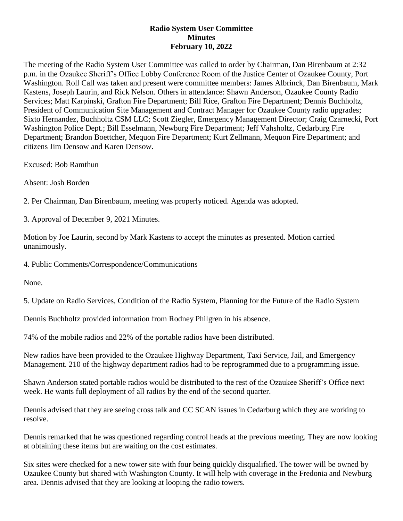## **Radio System User Committee Minutes February 10, 2022**

The meeting of the Radio System User Committee was called to order by Chairman, Dan Birenbaum at 2:32 p.m. in the Ozaukee Sheriff's Office Lobby Conference Room of the Justice Center of Ozaukee County, Port Washington. Roll Call was taken and present were committee members: James Albrinck, Dan Birenbaum, Mark Kastens, Joseph Laurin, and Rick Nelson. Others in attendance: Shawn Anderson, Ozaukee County Radio Services; Matt Karpinski, Grafton Fire Department; Bill Rice, Grafton Fire Department; Dennis Buchholtz, President of Communication Site Management and Contract Manager for Ozaukee County radio upgrades; Sixto Hernandez, Buchholtz CSM LLC; Scott Ziegler, Emergency Management Director; Craig Czarnecki, Port Washington Police Dept.; Bill Esselmann, Newburg Fire Department; Jeff Vahsholtz, Cedarburg Fire Department; Brandon Boettcher, Mequon Fire Department; Kurt Zellmann, Mequon Fire Department; and citizens Jim Densow and Karen Densow.

Excused: Bob Ramthun

Absent: Josh Borden

2. Per Chairman, Dan Birenbaum, meeting was properly noticed. Agenda was adopted.

3. Approval of December 9, 2021 Minutes.

Motion by Joe Laurin, second by Mark Kastens to accept the minutes as presented. Motion carried unanimously.

4. Public Comments/Correspondence/Communications

None.

5. Update on Radio Services, Condition of the Radio System, Planning for the Future of the Radio System

Dennis Buchholtz provided information from Rodney Philgren in his absence.

74% of the mobile radios and 22% of the portable radios have been distributed.

New radios have been provided to the Ozaukee Highway Department, Taxi Service, Jail, and Emergency Management. 210 of the highway department radios had to be reprogrammed due to a programming issue.

Shawn Anderson stated portable radios would be distributed to the rest of the Ozaukee Sheriff's Office next week. He wants full deployment of all radios by the end of the second quarter.

Dennis advised that they are seeing cross talk and CC SCAN issues in Cedarburg which they are working to resolve.

Dennis remarked that he was questioned regarding control heads at the previous meeting. They are now looking at obtaining these items but are waiting on the cost estimates.

Six sites were checked for a new tower site with four being quickly disqualified. The tower will be owned by Ozaukee County but shared with Washington County. It will help with coverage in the Fredonia and Newburg area. Dennis advised that they are looking at looping the radio towers.